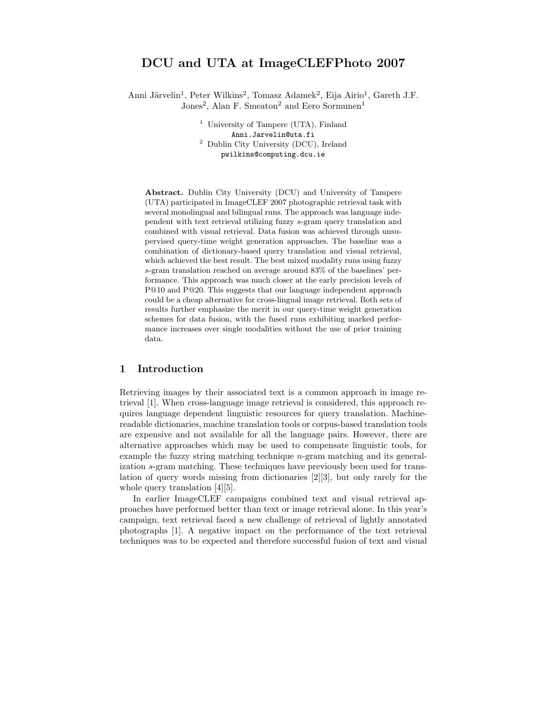# DCU and UTA at ImageCLEFPhoto 2007

Anni Järvelin<sup>1</sup>, Peter Wilkins<sup>2</sup>, Tomasz Adamek<sup>2</sup>, Eija Airio<sup>1</sup>, Gareth J.F. Jones<sup>2</sup>, Alan F. Smeaton<sup>2</sup> and Eero Sormunen<sup>1</sup>

> <sup>1</sup> University of Tampere (UTA), Finland Anni.Jarvelin@uta.fi <sup>2</sup> Dublin City University (DCU), Ireland pwilkins@computing.dcu.ie

Abstract. Dublin City University (DCU) and University of Tampere (UTA) participated in ImageCLEF 2007 photographic retrieval task with several monolingual and bilingual runs. The approach was language independent with text retrieval utilizing fuzzy s-gram query translation and combined with visual retrieval. Data fusion was achieved through unsupervised query-time weight generation approaches. The baseline was a combination of dictionary-based query translation and visual retrieval, which achieved the best result. The best mixed modality runs using fuzzy s-gram translation reached on average around 83% of the baselines' performance. This approach was much closer at the early precision levels of P@10 and P@20. This suggests that our language independent approach could be a cheap alternative for cross-lingual image retrieval. Both sets of results further emphasize the merit in our query-time weight generation schemes for data fusion, with the fused runs exhibiting marked performance increases over single modalities without the use of prior training data.

#### 1 Introduction

Retrieving images by their associated text is a common approach in image retrieval [1]. When cross-language image retrieval is considered, this approach requires language dependent linguistic resources for query translation. Machinereadable dictionaries, machine translation tools or corpus-based translation tools are expensive and not available for all the language pairs. However, there are alternative approaches which may be used to compensate linguistic tools, for example the fuzzy string matching technique n-gram matching and its generalization s-gram matching. These techniques have previously been used for translation of query words missing from dictionaries [2][3], but only rarely for the whole query translation [4][5].

In earlier ImageCLEF campaigns combined text and visual retrieval approaches have performed better than text or image retrieval alone. In this year's campaign, text retrieval faced a new challenge of retrieval of lightly annotated photographs [1]. A negative impact on the performance of the text retrieval techniques was to be expected and therefore successful fusion of text and visual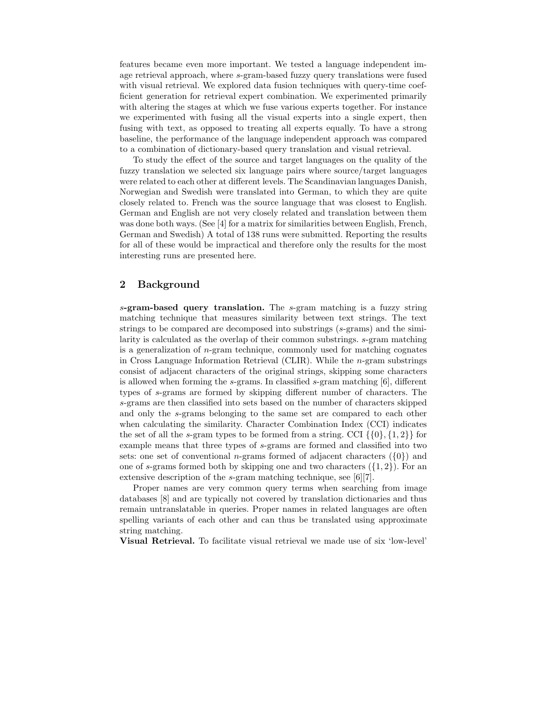features became even more important. We tested a language independent image retrieval approach, where s-gram-based fuzzy query translations were fused with visual retrieval. We explored data fusion techniques with query-time coefficient generation for retrieval expert combination. We experimented primarily with altering the stages at which we fuse various experts together. For instance we experimented with fusing all the visual experts into a single expert, then fusing with text, as opposed to treating all experts equally. To have a strong baseline, the performance of the language independent approach was compared to a combination of dictionary-based query translation and visual retrieval.

To study the effect of the source and target languages on the quality of the fuzzy translation we selected six language pairs where source/target languages were related to each other at different levels. The Scandinavian languages Danish, Norwegian and Swedish were translated into German, to which they are quite closely related to. French was the source language that was closest to English. German and English are not very closely related and translation between them was done both ways. (See [4] for a matrix for similarities between English, French, German and Swedish) A total of 138 runs were submitted. Reporting the results for all of these would be impractical and therefore only the results for the most interesting runs are presented here.

### 2 Background

s-gram-based query translation. The s-gram matching is a fuzzy string matching technique that measures similarity between text strings. The text strings to be compared are decomposed into substrings  $(s$ -grams) and the similarity is calculated as the overlap of their common substrings. s-gram matching is a generalization of  $n$ -gram technique, commonly used for matching cognates in Cross Language Information Retrieval (CLIR). While the  $n$ -gram substrings consist of adjacent characters of the original strings, skipping some characters is allowed when forming the s-grams. In classified s-gram matching [6], different types of s-grams are formed by skipping different number of characters. The s-grams are then classified into sets based on the number of characters skipped and only the s-grams belonging to the same set are compared to each other when calculating the similarity. Character Combination Index (CCI) indicates the set of all the s-gram types to be formed from a string. CCI  $\{\{0\},\{1,2\}\}\$ for example means that three types of s-grams are formed and classified into two sets: one set of conventional *n*-grams formed of adjacent characters  $({0})$  and one of s-grams formed both by skipping one and two characters  $({1, 2})$ . For an extensive description of the s-gram matching technique, see [6][7].

Proper names are very common query terms when searching from image databases [8] and are typically not covered by translation dictionaries and thus remain untranslatable in queries. Proper names in related languages are often spelling variants of each other and can thus be translated using approximate string matching.

Visual Retrieval. To facilitate visual retrieval we made use of six 'low-level'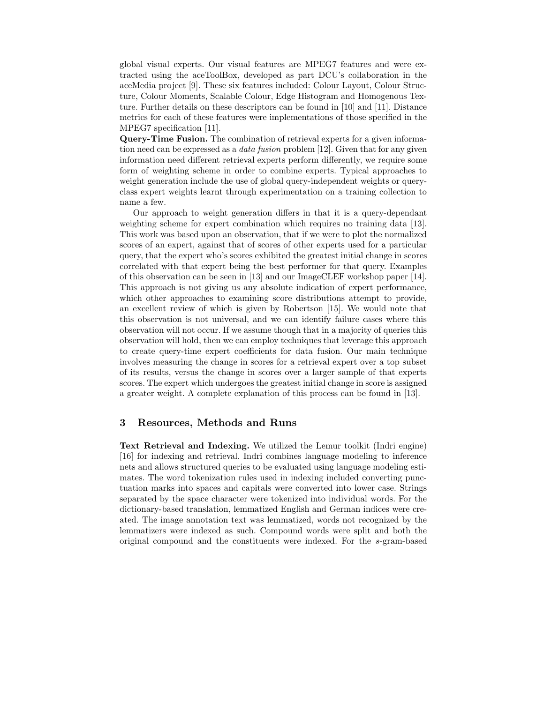global visual experts. Our visual features are MPEG7 features and were extracted using the aceToolBox, developed as part DCU's collaboration in the aceMedia project [9]. These six features included: Colour Layout, Colour Structure, Colour Moments, Scalable Colour, Edge Histogram and Homogenous Texture. Further details on these descriptors can be found in [10] and [11]. Distance metrics for each of these features were implementations of those specified in the MPEG7 specification [11].

Query-Time Fusion. The combination of retrieval experts for a given information need can be expressed as a data fusion problem [12]. Given that for any given information need different retrieval experts perform differently, we require some form of weighting scheme in order to combine experts. Typical approaches to weight generation include the use of global query-independent weights or queryclass expert weights learnt through experimentation on a training collection to name a few.

Our approach to weight generation differs in that it is a query-dependant weighting scheme for expert combination which requires no training data [13]. This work was based upon an observation, that if we were to plot the normalized scores of an expert, against that of scores of other experts used for a particular query, that the expert who's scores exhibited the greatest initial change in scores correlated with that expert being the best performer for that query. Examples of this observation can be seen in [13] and our ImageCLEF workshop paper [14]. This approach is not giving us any absolute indication of expert performance, which other approaches to examining score distributions attempt to provide, an excellent review of which is given by Robertson [15]. We would note that this observation is not universal, and we can identify failure cases where this observation will not occur. If we assume though that in a majority of queries this observation will hold, then we can employ techniques that leverage this approach to create query-time expert coefficients for data fusion. Our main technique involves measuring the change in scores for a retrieval expert over a top subset of its results, versus the change in scores over a larger sample of that experts scores. The expert which undergoes the greatest initial change in score is assigned a greater weight. A complete explanation of this process can be found in [13].

#### 3 Resources, Methods and Runs

Text Retrieval and Indexing. We utilized the Lemur toolkit (Indri engine) [16] for indexing and retrieval. Indri combines language modeling to inference nets and allows structured queries to be evaluated using language modeling estimates. The word tokenization rules used in indexing included converting punctuation marks into spaces and capitals were converted into lower case. Strings separated by the space character were tokenized into individual words. For the dictionary-based translation, lemmatized English and German indices were created. The image annotation text was lemmatized, words not recognized by the lemmatizers were indexed as such. Compound words were split and both the original compound and the constituents were indexed. For the s-gram-based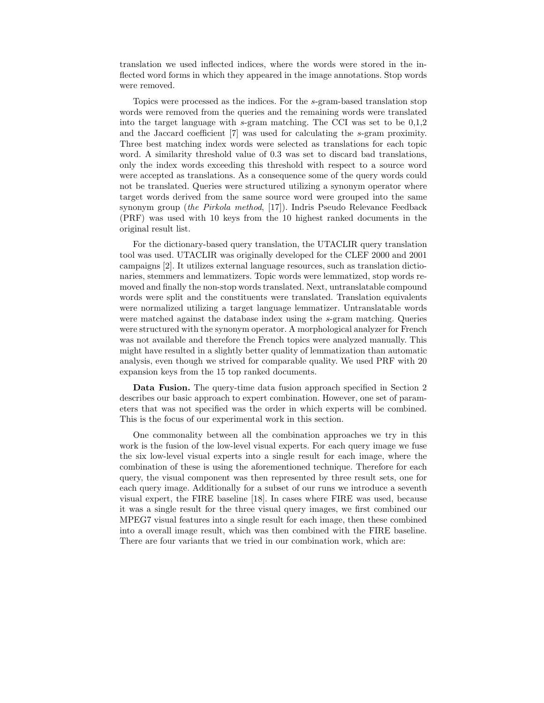translation we used inflected indices, where the words were stored in the inflected word forms in which they appeared in the image annotations. Stop words were removed.

Topics were processed as the indices. For the s-gram-based translation stop words were removed from the queries and the remaining words were translated into the target language with s-gram matching. The CCI was set to be 0,1,2 and the Jaccard coefficient [7] was used for calculating the s-gram proximity. Three best matching index words were selected as translations for each topic word. A similarity threshold value of 0.3 was set to discard bad translations, only the index words exceeding this threshold with respect to a source word were accepted as translations. As a consequence some of the query words could not be translated. Queries were structured utilizing a synonym operator where target words derived from the same source word were grouped into the same synonym group (the Pirkola method, [17]). Indris Pseudo Relevance Feedback (PRF) was used with 10 keys from the 10 highest ranked documents in the original result list.

For the dictionary-based query translation, the UTACLIR query translation tool was used. UTACLIR was originally developed for the CLEF 2000 and 2001 campaigns [2]. It utilizes external language resources, such as translation dictionaries, stemmers and lemmatizers. Topic words were lemmatized, stop words removed and finally the non-stop words translated. Next, untranslatable compound words were split and the constituents were translated. Translation equivalents were normalized utilizing a target language lemmatizer. Untranslatable words were matched against the database index using the s-gram matching. Queries were structured with the synonym operator. A morphological analyzer for French was not available and therefore the French topics were analyzed manually. This might have resulted in a slightly better quality of lemmatization than automatic analysis, even though we strived for comparable quality. We used PRF with 20 expansion keys from the 15 top ranked documents.

Data Fusion. The query-time data fusion approach specified in Section 2 describes our basic approach to expert combination. However, one set of parameters that was not specified was the order in which experts will be combined. This is the focus of our experimental work in this section.

One commonality between all the combination approaches we try in this work is the fusion of the low-level visual experts. For each query image we fuse the six low-level visual experts into a single result for each image, where the combination of these is using the aforementioned technique. Therefore for each query, the visual component was then represented by three result sets, one for each query image. Additionally for a subset of our runs we introduce a seventh visual expert, the FIRE baseline [18]. In cases where FIRE was used, because it was a single result for the three visual query images, we first combined our MPEG7 visual features into a single result for each image, then these combined into a overall image result, which was then combined with the FIRE baseline. There are four variants that we tried in our combination work, which are: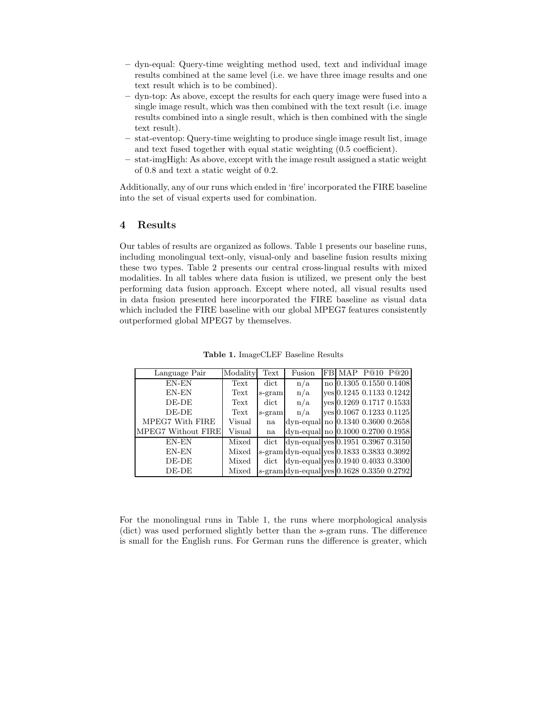- dyn-equal: Query-time weighting method used, text and individual image results combined at the same level (i.e. we have three image results and one text result which is to be combined).
- dyn-top: As above, except the results for each query image were fused into a single image result, which was then combined with the text result (i.e. image results combined into a single result, which is then combined with the single text result).
- stat-eventop: Query-time weighting to produce single image result list, image and text fused together with equal static weighting (0.5 coefficient).
- stat-imgHigh: As above, except with the image result assigned a static weight of 0.8 and text a static weight of 0.2.

Additionally, any of our runs which ended in 'fire' incorporated the FIRE baseline into the set of visual experts used for combination.

### 4 Results

Our tables of results are organized as follows. Table 1 presents our baseline runs, including monolingual text-only, visual-only and baseline fusion results mixing these two types. Table 2 presents our central cross-lingual results with mixed modalities. In all tables where data fusion is utilized, we present only the best performing data fusion approach. Except where noted, all visual results used in data fusion presented here incorporated the FIRE baseline as visual data which included the FIRE baseline with our global MPEG7 features consistently outperformed global MPEG7 by themselves.

| Language Pair      | Modality | Text      | Fusion                                       | FB MAP P@10 | P@20                     |
|--------------------|----------|-----------|----------------------------------------------|-------------|--------------------------|
| EN-EN              | Text     | dict      | n/a                                          |             | no 0.1305 0.1550 0.1408  |
| EN-EN              | Text     | $s$ -gram | n/a                                          |             | yes 0.1245 0.1133 0.1242 |
| $DE-DE$            | Text     | dict      | n/a                                          |             | yes 0.1269 0.1717 0.1533 |
| DE-DE              | Text     | $s$ -gram | n/a                                          |             | yes 0.1067 0.1233 0.1125 |
| MPEG7 With FIRE    | Visual   | na        | dyn-equal no 0.1340 0.3600 0.2658            |             |                          |
| MPEG7 Without FIRE | Visual   | na        | dyn-equal no 0.1000 0.2700 0.1958            |             |                          |
| EN-EN              | Mixed    | $\det$    | dyn-equal yes $0.1951$ 0.3967 0.3150         |             |                          |
| EN-EN              | Mixed    |           | $s$ -gram dyn-equal yes 0.1833 0.3833 0.3092 |             |                          |
| $DE-DE$            | Mixed    | dict      | dyn-equal yes $[0.1940 \ 0.4033 \ 0.3300]$   |             |                          |
| DE-DE              | Mixed    |           | $s$ -gram dyn-equal yes 0.1628 0.3350 0.2792 |             |                          |

Table 1. ImageCLEF Baseline Results

For the monolingual runs in Table 1, the runs where morphological analysis (dict) was used performed slightly better than the s-gram runs. The difference is small for the English runs. For German runs the difference is greater, which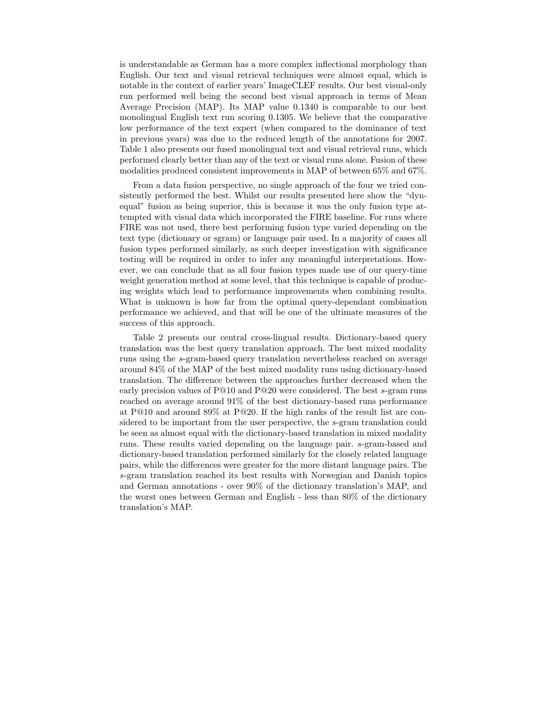is understandable as German has a more complex inflectional morphology than English. Our text and visual retrieval techniques were almost equal, which is notable in the context of earlier years' ImageCLEF results. Our best visual-only run performed well being the second best visual approach in terms of Mean Average Precision (MAP). Its MAP value 0.1340 is comparable to our best monolingual English text run scoring 0.1305. We believe that the comparative low performance of the text expert (when compared to the dominance of text in previous years) was due to the reduced length of the annotations for 2007. Table 1 also presents our fused monolingual text and visual retrieval runs, which performed clearly better than any of the text or visual runs alone. Fusion of these modalities produced consistent improvements in MAP of between 65% and 67%.

From a data fusion perspective, no single approach of the four we tried consistently performed the best. Whilst our results presented here show the "dynequal" fusion as being superior, this is because it was the only fusion type attempted with visual data which incorporated the FIRE baseline. For runs where FIRE was not used, there best performing fusion type varied depending on the text type (dictionary or sgram) or language pair used. In a majority of cases all fusion types performed similarly, as such deeper investigation with significance testing will be required in order to infer any meaningful interpretations. However, we can conclude that as all four fusion types made use of our query-time weight generation method at some level, that this technique is capable of producing weights which lead to performance improvements when combining results. What is unknown is how far from the optimal query-dependant combination performance we achieved, and that will be one of the ultimate measures of the success of this approach.

Table 2 presents our central cross-lingual results. Dictionary-based query translation was the best query translation approach. The best mixed modality runs using the s-gram-based query translation nevertheless reached on average around 84% of the MAP of the best mixed modality runs using dictionary-based translation. The difference between the approaches further decreased when the early precision values of  $P@10$  and  $P@20$  were considered. The best s-gram runs reached on average around 91% of the best dictionary-based runs performance at P@10 and around  $89\%$  at P@20. If the high ranks of the result list are considered to be important from the user perspective, the s-gram translation could be seen as almost equal with the dictionary-based translation in mixed modality runs. These results varied depending on the language pair. s-gram-based and dictionary-based translation performed similarly for the closely related language pairs, while the differences were greater for the more distant language pairs. The s-gram translation reached its best results with Norwegian and Danish topics and German annotations - over 90% of the dictionary translation's MAP, and the worst ones between German and English - less than 80% of the dictionary translation's MAP.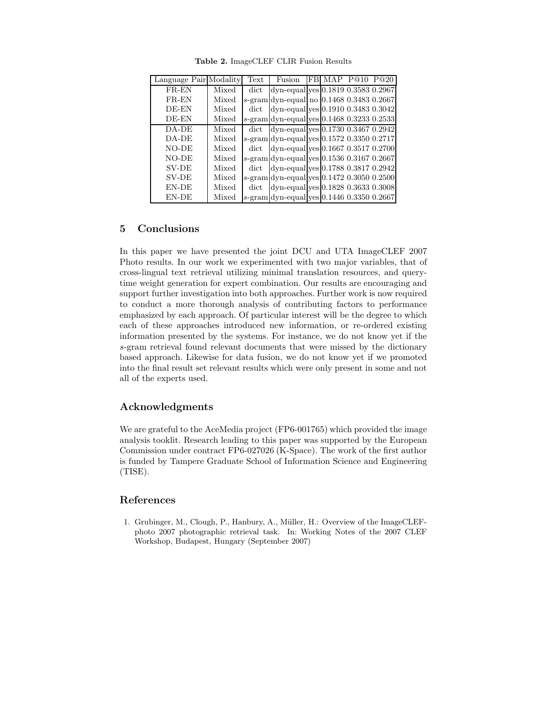| Language Pair Modality |       | Text   | Fusion                                    | FB | MAP | P@10 | P@20 |
|------------------------|-------|--------|-------------------------------------------|----|-----|------|------|
| FR-EN                  | Mixed | dict   | dyn-equallyes 0.1819 0.3583 0.2967        |    |     |      |      |
| FR-EN                  | Mixed |        | s-gram dyn-equal no 0.1468 0.3483 0.2667  |    |     |      |      |
| DE-EN                  | Mixed | dict   | dyn-equal yes 0.1910 0.3483 0.3042        |    |     |      |      |
| DE-EN                  | Mixed |        | s-gram dyn-equal yes 0.1468 0.3233 0.2533 |    |     |      |      |
| $DA-DE$                | Mixed | $\det$ | dyn-equal yes 0.1730 0.3467 0.2942        |    |     |      |      |
| DA-DE                  | Mixed |        | s-gram dyn-equal yes 0.1572 0.3350 0.2717 |    |     |      |      |
| NO-DE                  | Mixed | $\det$ | dyn-equal yes 0.1667 0.3517 0.2700        |    |     |      |      |
| $NO-DE$                | Mixed |        | s-gram dyn-equal yes 0.1536 0.3167 0.2667 |    |     |      |      |
| <b>SV-DE</b>           | Mixed | $\det$ | dyn-equal yes 0.1788 0.3817 0.2942        |    |     |      |      |
| SV-DE                  | Mixed |        | s-gram dyn-equal yes 0.1472 0.3050 0.2500 |    |     |      |      |
| EN-DE                  | Mixed | dict   | dyn-equal yes 0.1828 0.3633 0.3008        |    |     |      |      |
| EN-DE                  | Mixed |        | s-gram dyn-equal yes 0.1446 0.3350 0.2667 |    |     |      |      |

Table 2. ImageCLEF CLIR Fusion Results

## 5 Conclusions

In this paper we have presented the joint DCU and UTA ImageCLEF 2007 Photo results. In our work we experimented with two major variables, that of cross-lingual text retrieval utilizing minimal translation resources, and querytime weight generation for expert combination. Our results are encouraging and support further investigation into both approaches. Further work is now required to conduct a more thorough analysis of contributing factors to performance emphasized by each approach. Of particular interest will be the degree to which each of these approaches introduced new information, or re-ordered existing information presented by the systems. For instance, we do not know yet if the s-gram retrieval found relevant documents that were missed by the dictionary based approach. Likewise for data fusion, we do not know yet if we promoted into the final result set relevant results which were only present in some and not all of the experts used.

# Acknowledgments

We are grateful to the AceMedia project (FP6-001765) which provided the image analysis tooklit. Research leading to this paper was supported by the European Commission under contract FP6-027026 (K-Space). The work of the first author is funded by Tampere Graduate School of Information Science and Engineering (TISE).

# References

1. Grubinger, M., Clough, P., Hanbury, A., M¨uller, H.: Overview of the ImageCLEFphoto 2007 photographic retrieval task. In: Working Notes of the 2007 CLEF Workshop, Budapest, Hungary (September 2007)